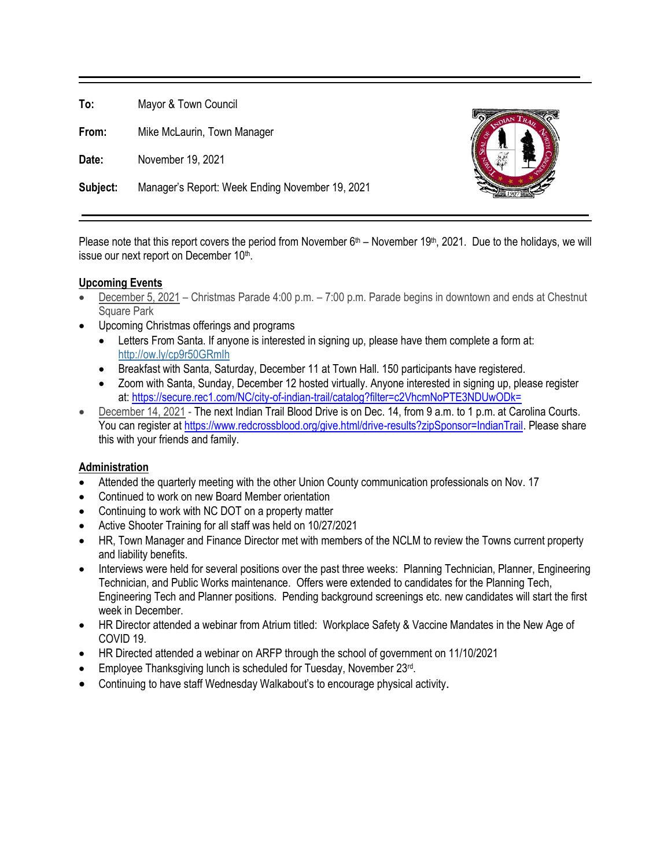**To:** Mayor & Town Council

**From:** Mike McLaurin, Town Manager

**Date:** November 19, 2021

**Subject:** Manager's Report: Week Ending November 19, 2021



#### **Upcoming Events**

- December 5, 2021 Christmas Parade 4:00 p.m. 7:00 p.m. Parade begins in downtown and ends at Chestnut Square Park
- Upcoming Christmas offerings and programs
	- Letters From Santa. If anyone is interested in signing up, please have them complete a form at: <http://ow.ly/cp9r50GRmIh>
	- Breakfast with Santa, Saturday, December 11 at Town Hall. 150 participants have registered.
	- Zoom with Santa, Sunday, December 12 hosted virtually. Anyone interested in signing up, please register at[: https://secure.rec1.com/NC/city-of-indian-trail/catalog?filter=c2VhcmNoPTE3NDUwODk=](https://secure.rec1.com/NC/city-of-indian-trail/catalog?filter=c2VhcmNoPTE3NDUwODk=)
- December 14, 2021 The next Indian Trail Blood Drive is on Dec. 14, from 9 a.m. to 1 p.m. at Carolina Courts. You can register at [https://www.redcrossblood.org/give.html/drive-results?zipSponsor=IndianTrail.](https://www.redcrossblood.org/give.html/drive-results?zipSponsor=IndianTrail) Please share this with your friends and family.

# **Administration**

- Attended the quarterly meeting with the other Union County communication professionals on Nov. 17
- Continued to work on new Board Member orientation
- Continuing to work with NC DOT on a property matter
- Active Shooter Training for all staff was held on 10/27/2021
- HR, Town Manager and Finance Director met with members of the NCLM to review the Towns current property and liability benefits.
- Interviews were held for several positions over the past three weeks: Planning Technician, Planner, Engineering Technician, and Public Works maintenance. Offers were extended to candidates for the Planning Tech, Engineering Tech and Planner positions. Pending background screenings etc. new candidates will start the first week in December.
- HR Director attended a webinar from Atrium titled: Workplace Safety & Vaccine Mandates in the New Age of COVID 19.
- HR Directed attended a webinar on ARFP through the school of government on 11/10/2021
- Employee Thanksgiving lunch is scheduled for Tuesday, November 23rd.
- Continuing to have staff Wednesday Walkabout's to encourage physical activity.

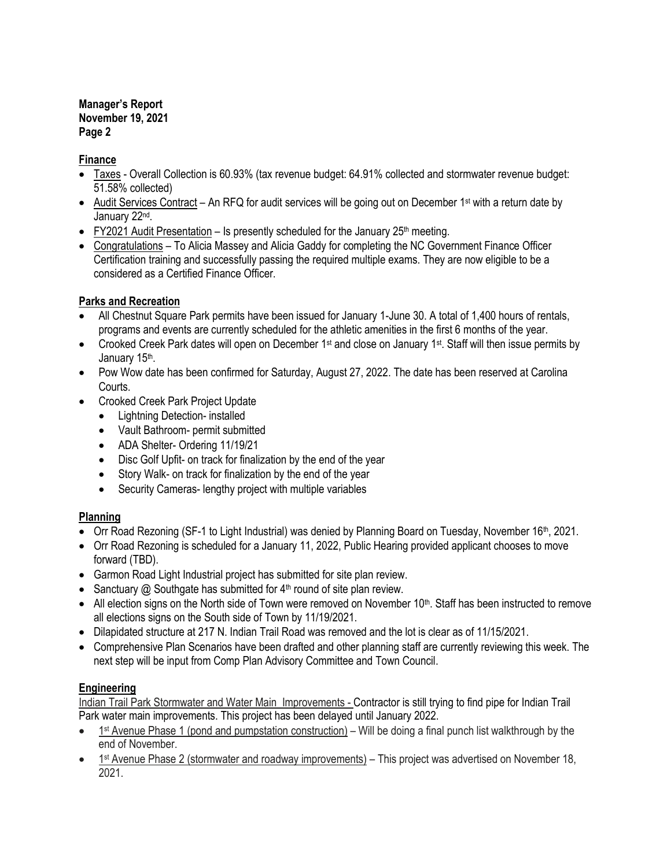#### **Manager's Report November 19, 2021 Page 2**

#### **Finance**

- Taxes Overall Collection is 60.93% (tax revenue budget: 64.91% collected and stormwater revenue budget: 51.58% collected)
- Audit Services Contract An RFQ for audit services will be going out on December 1<sup>st</sup> with a return date by January 22<sup>nd</sup>.
- FY2021 Audit Presentation Is presently scheduled for the January  $25<sup>th</sup>$  meeting.
- Congratulations To Alicia Massey and Alicia Gaddy for completing the NC Government Finance Officer Certification training and successfully passing the required multiple exams. They are now eligible to be a considered as a Certified Finance Officer.

# **Parks and Recreation**

- All Chestnut Square Park permits have been issued for January 1-June 30. A total of 1,400 hours of rentals, programs and events are currently scheduled for the athletic amenities in the first 6 months of the year.
- Crooked Creek Park dates will open on December 1<sup>st</sup> and close on January 1<sup>st</sup>. Staff will then issue permits by January 15<sup>th</sup>.
- Pow Wow date has been confirmed for Saturday, August 27, 2022. The date has been reserved at Carolina Courts.
- Crooked Creek Park Project Update
	- Lightning Detection- installed
	- Vault Bathroom- permit submitted
	- ADA Shelter- Ordering 11/19/21
	- Disc Golf Upfit- on track for finalization by the end of the year
	- Story Walk- on track for finalization by the end of the year
	- Security Cameras- lengthy project with multiple variables

# **Planning**

- Orr Road Rezoning (SF-1 to Light Industrial) was denied by Planning Board on Tuesday, November 16<sup>th</sup>, 2021.
- Orr Road Rezoning is scheduled for a January 11, 2022, Public Hearing provided applicant chooses to move forward (TBD).
- Garmon Road Light Industrial project has submitted for site plan review.
- Sanctuary  $\omega$  Southgate has submitted for  $4<sup>th</sup>$  round of site plan review.
- All election signs on the North side of Town were removed on November 10<sup>th</sup>. Staff has been instructed to remove all elections signs on the South side of Town by 11/19/2021.
- Dilapidated structure at 217 N. Indian Trail Road was removed and the lot is clear as of 11/15/2021.
- Comprehensive Plan Scenarios have been drafted and other planning staff are currently reviewing this week. The next step will be input from Comp Plan Advisory Committee and Town Council.

# **Engineering**

Indian Trail Park Stormwater and Water Main Improvements - Contractor is still trying to find pipe for Indian Trail Park water main improvements. This project has been delayed until January 2022.

- 1<sup>st</sup> Avenue Phase 1 (pond and pumpstation construction) Will be doing a final punch list walkthrough by the end of November.
- 1<sup>st</sup> Avenue Phase 2 (stormwater and roadway improvements) This project was advertised on November 18, 2021.